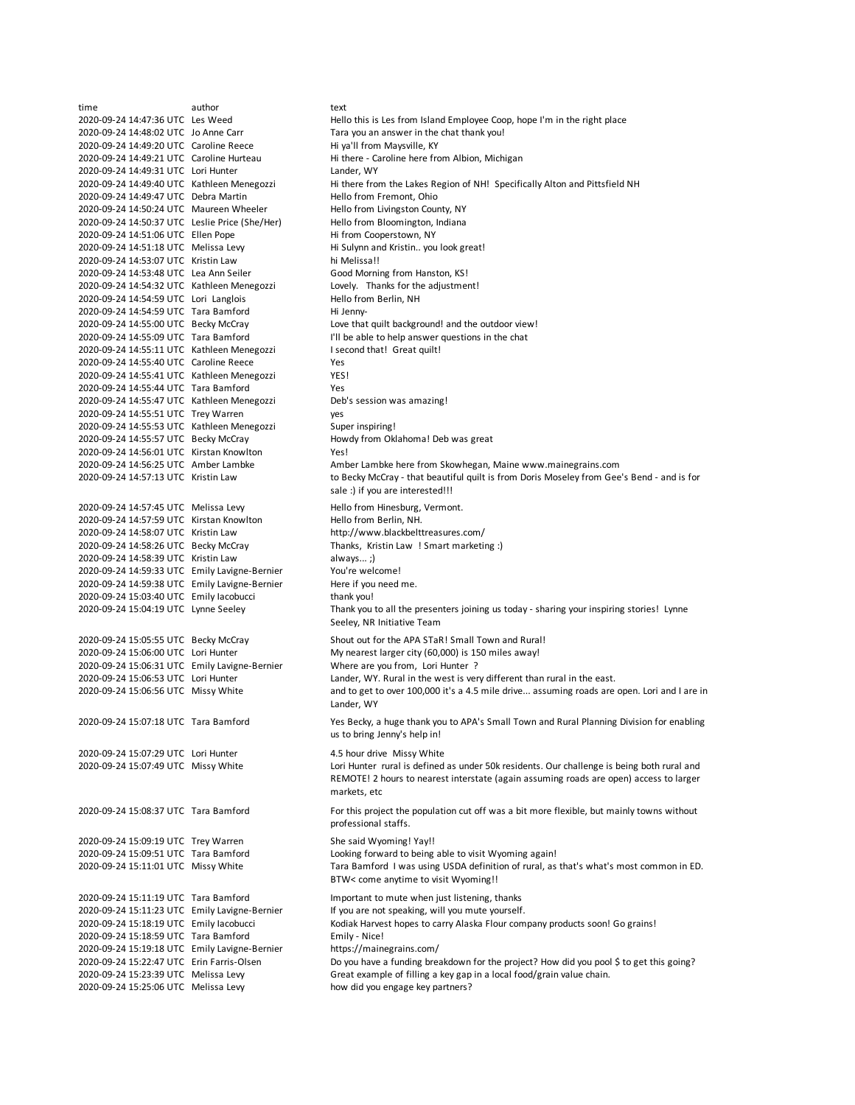time author text<br>2020-09-24 14:47:36 UTC Les Weed Hell Hello this is Les from Island Employee Coop, hope I'm in the right place 2020-09-24 14:48:02 UTC Jo Anne Carr Tara you an answer in the chat thank you! 2020-09-24 14:49:20 UTC Caroline Reece Hi ya'll from Maysville, KY 2020-09-24 14:49:21 UTC Caroline Hurteau Hi there - Caroline here from Albion, Michigan 2020-09-24 14:49:31 UTC Lori Hunter Lander, WY 2020-09-24 14:49:40 UTC Kathleen Menegozzi Hi there from the Lakes Region of NH! Specifically Alton and Pittsfield NH 2020-09-24 14:49:47 UTC Debra Martin Hello from Fremont, Ohio 2020-09-24 14:50:24 UTC Maureen Wheeler Hello from Livingston County, NY 2020-09-24 14:50:37 UTC Leslie Price (She/Her) Hello from Bloomington, Indiana 2020-09-24 14:51:06 UTC Ellen Pope Hi from Cooperstown, NY 2020-09-24 14:51:18 UTC Melissa Levy Hi Sulynn and Kristin.. you look great! 2020-09-24 14:53:07 UTC Kristin Law hi Melissa!! 2020-09-24 14:53:48 UTC Lea Ann Seiler Good Morning from Hanston, KS! 2020-09-24 14:54:32 UTC Kathleen Menegozzi Lovely. Thanks for the adjustment! 2020-09-24 14:54:59 UTC Lori Langlois Hello from Berlin, NH 2020-09-24 14:54:59 UTC Tara Bamford Hi Jenny-<br>2020-09-24 14:55:00 UTC Becky McCray Love that 2020-09-24 14:55:00 UTC Becky McCray Love that quilt background! and the outdoor view! I'll be able to help answer questions in the chat 2020-09-24 14:55:11 UTC Kathleen Menegozzi I second that! Great quilt! 2020-09-24 14:55:40 UTC Caroline Reece Yes 2020-09-24 14:55:41 UTC Kathleen Menegozzi YES! 2020-09-24 14:55:44 UTC Tara Bamford Yes 2020-09-24 14:55:47 UTC Kathleen Menegozzi Deb's session was amazing! 2020-09-24 14:55:51 UTC Trey Warren yes 2020-09-24 14:55:53 UTC Kathleen Menegozzi Super inspiring! 2020-09-24 14:55:57 UTC Becky McCray Howdy from Oklahoma! Deb was great 2020-09-24 14:56:01 UTC Kirstan Knowlton Yes! 2020-09-24 14:56:25 UTC Amber Lambke Amber Lambke here from Skowhegan, Maine www.mainegrains.com 2020-09-24 14:57:13 UTC Kristin Law 2020-09-24 14:57:45 UTC Melissa Levy Hello from Hinesburg, Vermont.<br>2020-09-24 14:57:59 UTC Kirstan Knowlton Hello from Berlin, NH. 2020-09-24 14:57:59 UTC Kirstan Knowlton 2020-09-24 14:58:07 UTC Kristin Law http://www.blackbelttreasures.com/ 2020-09-24 14:58:26 UTC Becky McCray Thanks, Kristin Law ! Smart marketing :) 2020-09-24 14:58:39 UTC Kristin Law always... ;) 2020-09-24 14:59:33 UTC Emily Lavigne-Bernier You're welcome! 2020-09-24 14:59:38 UTC Emily Lavigne-Bernier Here if you need me. 2020-09-24 15:03:40 UTC Emily Iacobucci thank you! 2020-09-24 15:04:19 UTC Lynne Seeley 2020-09-24 15:05:55 UTC Becky McCray Shout out for the APA STaR! Small Town and Rural!<br>2020-09-24 15:06:00 UTC Lori Hunter My nearest larger city (60,000) is 150 miles away! My nearest larger city (60,000) is 150 miles away! 2020-09-24 15:06:31 UTC Emily Lavigne-Bernier Where are you from, Lori Hunter ? 2020-09-24 15:06:53 UTC Lori Hunter Lander, WY. Rural in the west is very different than rural in the east. 2020-09-24 15:06:56 UTC Missy White 2020-09-24 15:07:18 UTC Tara Bamford 2020-09-24 15:07:29 UTC Lori Hunter 4.5 hour drive Missy White 2020-09-24 15:07:49 UTC Missy White 2020-09-24 15:08:37 UTC Tara Bamford 2020-09-24 15:09:19 UTC Trey Warren She said Wyoming! Yay!! 2020-09-24 15:09:51 UTC Tara Bamford Looking forward to being able to visit Wyoming again! 2020-09-24 15:11:01 UTC Missy White 2020-09-24 15:11:19 UTC Tara Bamford Important to mute when just listening, thanks 2020-09-24 15:11:23 UTC Emily Lavigne-Bernier If you are not speaking, will you mute yourself. 2020-09-24 15:18:19 UTC Emily Iacobucci Kodiak Harvest hopes to carry Alaska Flour company products soon! Go grains! 2020-09-24 15:18:59 UTC Tara Bamford Emily - Nice! 2020-09-24 15:19:18 UTC Emily Lavigne-Bernier https://mainegrains.com/ 2020-09-24 15:22:47 UTC Erin Farris-Olsen Do you have a funding breakdown for the project? How did you pool \$ to get this going? 2020-09-24 15:23:39 UTC Melissa Levy Great example of filling a key gap in a local food/grain value chain. 2020-09-24 15:25:06 UTC Melissa Levy how did you engage key partners? Tara Bamford I was using USDA definition of rural, as that's what's most common in ED. BTW< come anytime to visit Wyoming!! to Becky McCray - that beautiful quilt is from Doris Moseley from Gee's Bend - and is for sale :) if you are interested!!! Thank you to all the presenters joining us today - sharing your inspiring stories! Lynne Seeley, NR Initiative Team and to get to over 100,000 it's a 4.5 mile drive... assuming roads are open. Lori and I are in Lander, WY Yes Becky, a huge thank you to APA's Small Town and Rural Planning Division for enabling us to bring Jenny's help in! Lori Hunter rural is defined as under 50k residents. Our challenge is being both rural and REMOTE! 2 hours to nearest interstate (again assuming roads are open) access to larger markets, etc For this project the population cut off was a bit more flexible, but mainly towns without professional staffs.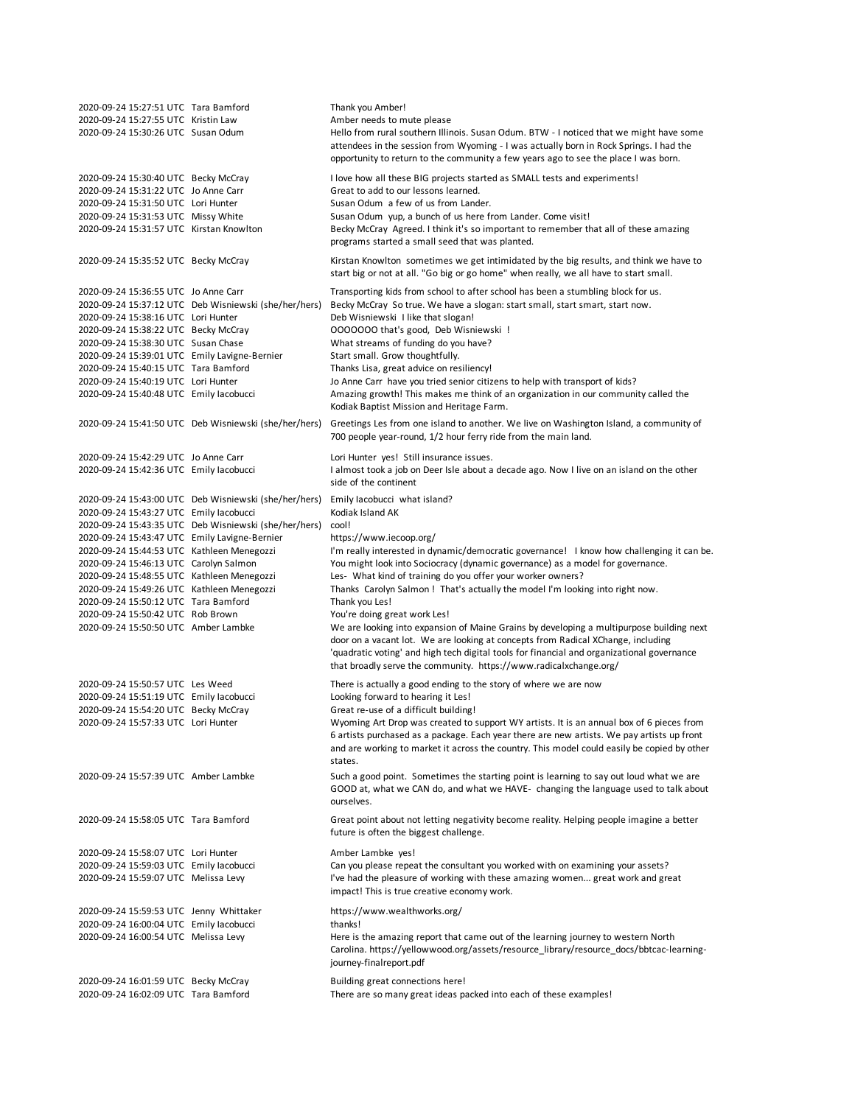| 2020-09-24 15:27:51 UTC Tara Bamford<br>2020-09-24 15:27:55 UTC Kristin Law<br>2020-09-24 15:30:26 UTC Susan Odum                                                                                                                                                                                                                                                                                 |                                                                                                                | Thank you Amber!<br>Amber needs to mute please<br>Hello from rural southern Illinois. Susan Odum. BTW - I noticed that we might have some<br>attendees in the session from Wyoming - I was actually born in Rock Springs. I had the<br>opportunity to return to the community a few years ago to see the place I was born.                                                                                                                                                                                                                                                                                                                                                                                                                                                                                              |
|---------------------------------------------------------------------------------------------------------------------------------------------------------------------------------------------------------------------------------------------------------------------------------------------------------------------------------------------------------------------------------------------------|----------------------------------------------------------------------------------------------------------------|-------------------------------------------------------------------------------------------------------------------------------------------------------------------------------------------------------------------------------------------------------------------------------------------------------------------------------------------------------------------------------------------------------------------------------------------------------------------------------------------------------------------------------------------------------------------------------------------------------------------------------------------------------------------------------------------------------------------------------------------------------------------------------------------------------------------------|
| 2020-09-24 15:30:40 UTC Becky McCray<br>2020-09-24 15:31:22 UTC Jo Anne Carr<br>2020-09-24 15:31:50 UTC Lori Hunter<br>2020-09-24 15:31:53 UTC Missy White<br>2020-09-24 15:31:57 UTC Kirstan Knowlton                                                                                                                                                                                            |                                                                                                                | I love how all these BIG projects started as SMALL tests and experiments!<br>Great to add to our lessons learned.<br>Susan Odum a few of us from Lander.<br>Susan Odum yup, a bunch of us here from Lander. Come visit!<br>Becky McCray Agreed. I think it's so important to remember that all of these amazing<br>programs started a small seed that was planted.                                                                                                                                                                                                                                                                                                                                                                                                                                                      |
| 2020-09-24 15:35:52 UTC Becky McCray                                                                                                                                                                                                                                                                                                                                                              |                                                                                                                | Kirstan Knowlton sometimes we get intimidated by the big results, and think we have to<br>start big or not at all. "Go big or go home" when really, we all have to start small.                                                                                                                                                                                                                                                                                                                                                                                                                                                                                                                                                                                                                                         |
| 2020-09-24 15:36:55 UTC Jo Anne Carr<br>2020-09-24 15:38:16 UTC Lori Hunter<br>2020-09-24 15:38:22 UTC Becky McCray<br>2020-09-24 15:38:30 UTC Susan Chase<br>2020-09-24 15:39:01 UTC Emily Lavigne-Bernier<br>2020-09-24 15:40:15 UTC Tara Bamford<br>2020-09-24 15:40:19 UTC Lori Hunter<br>2020-09-24 15:40:48 UTC Emily lacobucci                                                             | 2020-09-24 15:37:12 UTC Deb Wisniewski (she/her/hers)                                                          | Transporting kids from school to after school has been a stumbling block for us.<br>Becky McCray So true. We have a slogan: start small, start smart, start now.<br>Deb Wisniewski I like that slogan!<br>0000000 that's good, Deb Wisniewski !<br>What streams of funding do you have?<br>Start small. Grow thoughtfully.<br>Thanks Lisa, great advice on resiliency!<br>Jo Anne Carr have you tried senior citizens to help with transport of kids?<br>Amazing growth! This makes me think of an organization in our community called the<br>Kodiak Baptist Mission and Heritage Farm.                                                                                                                                                                                                                                |
|                                                                                                                                                                                                                                                                                                                                                                                                   | 2020-09-24 15:41:50 UTC Deb Wisniewski (she/her/hers)                                                          | Greetings Les from one island to another. We live on Washington Island, a community of<br>700 people year-round, 1/2 hour ferry ride from the main land.                                                                                                                                                                                                                                                                                                                                                                                                                                                                                                                                                                                                                                                                |
| 2020-09-24 15:42:29 UTC Jo Anne Carr<br>2020-09-24 15:42:36 UTC Emily lacobucci                                                                                                                                                                                                                                                                                                                   |                                                                                                                | Lori Hunter yes! Still insurance issues.<br>I almost took a job on Deer Isle about a decade ago. Now I live on an island on the other<br>side of the continent                                                                                                                                                                                                                                                                                                                                                                                                                                                                                                                                                                                                                                                          |
| 2020-09-24 15:43:27 UTC Emily lacobucci<br>2020-09-24 15:43:47 UTC Emily Lavigne-Bernier<br>2020-09-24 15:44:53 UTC Kathleen Menegozzi<br>2020-09-24 15:46:13 UTC Carolyn Salmon<br>2020-09-24 15:48:55 UTC Kathleen Menegozzi<br>2020-09-24 15:49:26 UTC Kathleen Menegozzi<br>2020-09-24 15:50:12 UTC Tara Bamford<br>2020-09-24 15:50:42 UTC Rob Brown<br>2020-09-24 15:50:50 UTC Amber Lambke | 2020-09-24 15:43:00 UTC Deb Wisniewski (she/her/hers)<br>2020-09-24 15:43:35 UTC Deb Wisniewski (she/her/hers) | Emily lacobucci what island?<br>Kodiak Island AK<br>cool!<br>https://www.iecoop.org/<br>I'm really interested in dynamic/democratic governance! I know how challenging it can be.<br>You might look into Sociocracy (dynamic governance) as a model for governance.<br>Les- What kind of training do you offer your worker owners?<br>Thanks Carolyn Salmon! That's actually the model I'm looking into right now.<br>Thank you Les!<br>You're doing great work Les!<br>We are looking into expansion of Maine Grains by developing a multipurpose building next<br>door on a vacant lot. We are looking at concepts from Radical XChange, including<br>'quadratic voting' and high tech digital tools for financial and organizational governance<br>that broadly serve the community. https://www.radicalxchange.org/ |
| 2020-09-24 15:50:57 UTC Les Weed<br>2020-09-24 15:51:19 UTC Emily lacobucci<br>2020-09-24 15:54:20 UTC Becky McCray<br>2020-09-24 15:57:33 UTC Lori Hunter                                                                                                                                                                                                                                        |                                                                                                                | There is actually a good ending to the story of where we are now<br>Looking forward to hearing it Les!<br>Great re-use of a difficult building!<br>Wyoming Art Drop was created to support WY artists. It is an annual box of 6 pieces from<br>6 artists purchased as a package. Each year there are new artists. We pay artists up front<br>and are working to market it across the country. This model could easily be copied by other<br>states.                                                                                                                                                                                                                                                                                                                                                                     |
| 2020-09-24 15:57:39 UTC Amber Lambke                                                                                                                                                                                                                                                                                                                                                              |                                                                                                                | Such a good point. Sometimes the starting point is learning to say out loud what we are<br>GOOD at, what we CAN do, and what we HAVE- changing the language used to talk about<br>ourselves.                                                                                                                                                                                                                                                                                                                                                                                                                                                                                                                                                                                                                            |
| 2020-09-24 15:58:05 UTC Tara Bamford                                                                                                                                                                                                                                                                                                                                                              |                                                                                                                | Great point about not letting negativity become reality. Helping people imagine a better<br>future is often the biggest challenge.                                                                                                                                                                                                                                                                                                                                                                                                                                                                                                                                                                                                                                                                                      |
| 2020-09-24 15:58:07 UTC Lori Hunter<br>2020-09-24 15:59:03 UTC Emily lacobucci<br>2020-09-24 15:59:07 UTC Melissa Levy                                                                                                                                                                                                                                                                            |                                                                                                                | Amber Lambke yes!<br>Can you please repeat the consultant you worked with on examining your assets?<br>I've had the pleasure of working with these amazing women great work and great<br>impact! This is true creative economy work.                                                                                                                                                                                                                                                                                                                                                                                                                                                                                                                                                                                    |
| 2020-09-24 15:59:53 UTC Jenny Whittaker<br>2020-09-24 16:00:04 UTC Emily lacobucci<br>2020-09-24 16:00:54 UTC Melissa Levy                                                                                                                                                                                                                                                                        |                                                                                                                | https://www.wealthworks.org/<br>thanks!<br>Here is the amazing report that came out of the learning journey to western North<br>Carolina. https://yellowwood.org/assets/resource_library/resource_docs/bbtcac-learning-<br>journey-finalreport.pdf                                                                                                                                                                                                                                                                                                                                                                                                                                                                                                                                                                      |
| 2020-09-24 16:01:59 UTC Becky McCray<br>2020-09-24 16:02:09 UTC Tara Bamford                                                                                                                                                                                                                                                                                                                      |                                                                                                                | Building great connections here!<br>There are so many great ideas packed into each of these examples!                                                                                                                                                                                                                                                                                                                                                                                                                                                                                                                                                                                                                                                                                                                   |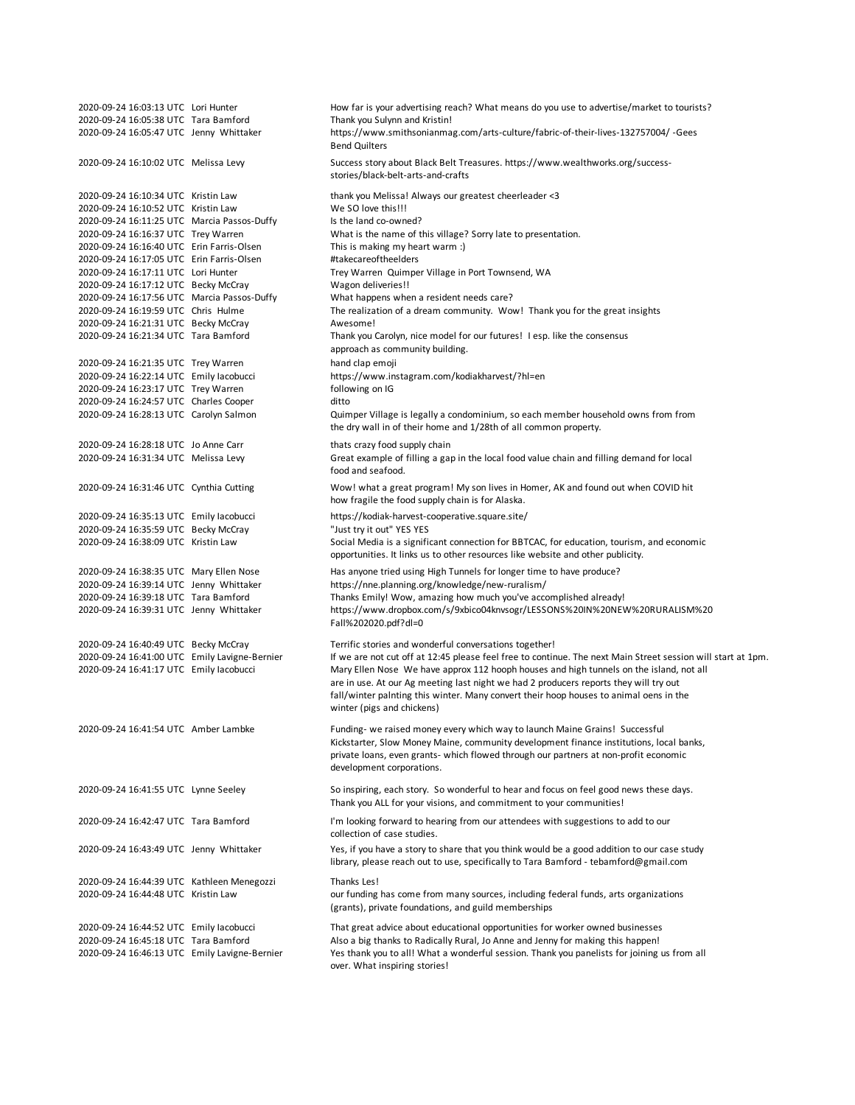2020-09-24 16:03:13 UTC Lori Hunter How far is your advertising reach? What means do you use to advertise/market to tourists? 2020-09-24 16:05:38 UTC Tara Bamford Thank you Sulynn and Kristin! 2020-09-24 16:05:47 UTC Jenny Whittaker 2020-09-24 16:10:02 UTC Melissa Levy 2020-09-24 16:10:34 UTC Kristin Law thank you Melissa! Always our greatest cheerleader <3 2020-09-24 16:10:52 UTC Kristin Law We SO love this!!! 2020-09-24 16:11:25 UTC Marcia Passos-Duffy Is the land co-owned?<br>2020-09-24 16:16:37 UTC Trey Warren What is the name of t What is the name of this village? Sorry late to presentation. 2020-09-24 16:16:40 UTC Erin Farris-Olsen This is making my heart warm :) 2020-09-24 16:17:05 UTC Erin Farris-Olsen #takecareoftheelders 2020-09-24 16:17:11 UTC Lori Hunter Trey Warren Quimper Village in Port Townsend, WA 2020-09-24 16:17:12 UTC Becky McCray Wagon deliveries!! 2020-09-24 16:17:56 UTC Marcia Passos-Duffy What happens when a resident needs care? 2020-09-24 16:19:59 UTC Chris Hulme The realization of a dream community. Wow! Thank you for the great insights 2020-09-24 16:21:31 UTC Becky McCray Manual Awesome! 2020-09-24 16:21:34 UTC Tara Bamford 2020-09-24 16:21:35 UTC Trey Warren hand clap emoji 2020-09-24 16:22:14 UTC Emily Iacobucci https://www.instagram.com/kodiakharvest/?hl=en 2020-09-24 16:23:17 UTC Trey Warren following on IG 2020-09-24 16:24:57 UTC Charles Cooper ditto 2020-09-24 16:28:13 UTC Carolyn Salmon 2020-09-24 16:28:18 UTC Jo Anne Carr thats crazy food supply chain 2020-09-24 16:31:34 UTC Melissa Levy 2020-09-24 16:31:46 UTC Cynthia Cutting 2020-09-24 16:35:13 UTC Emily Iacobucci https://kodiak-harvest-cooperative.square.site/ 2020-09-24 16:35:59 UTC Becky McCray "Just try it out" YES YES 2020-09-24 16:38:09 UTC Kristin Law 2020-09-24 16:38:35 UTC Mary Ellen Nose Has anyone tried using High Tunnels for longer time to have produce? 2020-09-24 16:39:14 UTC Jenny Whittaker https://nne.planning.org/knowledge/new-ruralism/ Thanks Emily! Wow, amazing how much you've accomplished already! 2020-09-24 16:39:31 UTC Jenny Whittaker 2020-09-24 16:40:49 UTC Becky McCray Terrific stories and wonderful conversations together! If we are not cut off at 12:45 please feel free to continue. The next Main Street session will start at 1pm. 2020-09-24 16:41:17 UTC Emily Iacobucci 2020-09-24 16:41:54 UTC Amber Lambke 2020-09-24 16:41:55 UTC Lynne Seeley 2020-09-24 16:42:47 UTC Tara Bamford 2020-09-24 16:43:49 UTC Jenny Whittaker 2020-09-24 16:44:39 UTC Kathleen Menegozzi Thanks Les! 2020-09-24 16:44:48 UTC Kristin Law 2020-09-24 16:44:52 UTC Emily Iacobucci That great advice about educational opportunities for worker owned businesses 2020-09-24 16:45:18 UTC Tara Bamford Also a big thanks to Radically Rural, Jo Anne and Jenny for making this happen! 2020-09-24 16:46:13 UTC Emily Lavigne-Bernier I'm looking forward to hearing from our attendees with suggestions to add to our collection of case studies. Yes, if you have a story to share that you think would be a good addition to our case study library, please reach out to use, specifically to Tara Bamford - tebamford@gmail.com our funding has come from many sources, including federal funds, arts organizations (grants), private foundations, and guild memberships Yes thank you to all! What a wonderful session. Thank you panelists for joining us from all over. What inspiring stories! Thank you Carolyn, nice model for our futures! I esp. like the consensus approach as community building. Quimper Village is legally a condominium, so each member household owns from from the dry wall in of their home and 1/28th of all common property. Great example of filling a gap in the local food value chain and filling demand for local food and seafood. Wow! what a great program! My son lives in Homer, AK and found out when COVID hit how fragile the food supply chain is for Alaska. Social Media is a significant connection for BBTCAC, for education, tourism, and economic opportunities. It links us to other resources like website and other publicity. https://www.smithsonianmag.com/arts-culture/fabric-of-their-lives-132757004/ -Gees Bend Quilters Success story about Black Belt Treasures. https://www.wealthworks.org/successstories/black-belt-arts-and-crafts Mary Ellen Nose We have approx 112 hooph houses and high tunnels on the island, not all are in use. At our Ag meeting last night we had 2 producers reports they will try out fall/winter palnting this winter. Many convert their hoop houses to animal oens in the winter (pigs and chickens) Funding- we raised money every which way to launch Maine Grains! Successful Kickstarter, Slow Money Maine, community development finance institutions, local banks, private loans, even grants- which flowed through our partners at non-profit economic development corporations. So inspiring, each story. So wonderful to hear and focus on feel good news these days. Thank you ALL for your visions, and commitment to your communities! https://www.dropbox.com/s/9xbico04knvsogr/LESSONS%20IN%20NEW%20RURALISM%20 Fall%202020.pdf?dl=0